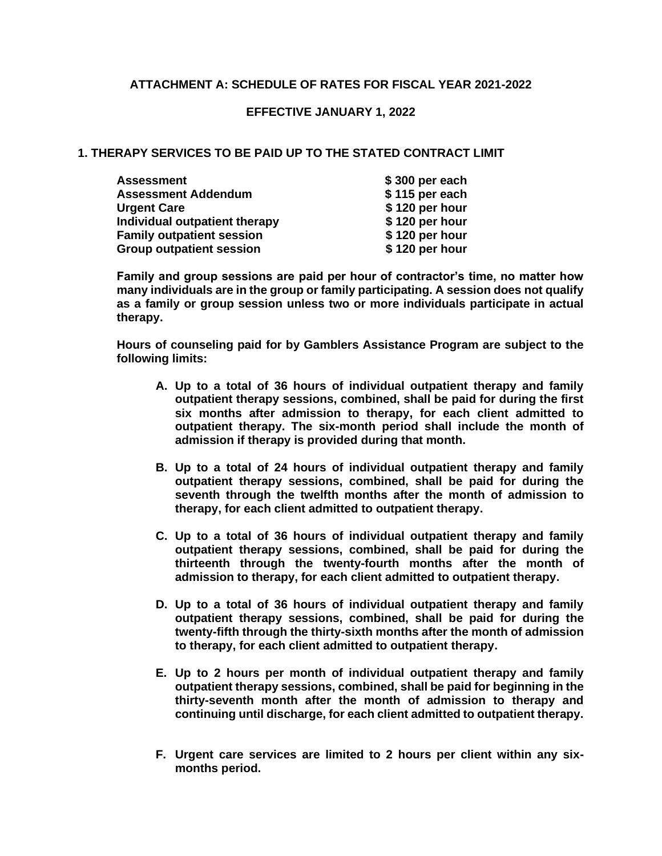# **ATTACHMENT A: SCHEDULE OF RATES FOR FISCAL YEAR 2021-2022**

## **EFFECTIVE JANUARY 1, 2022**

## **1. THERAPY SERVICES TO BE PAID UP TO THE STATED CONTRACT LIMIT**

| <b>Assessment</b>                | \$300 per each |
|----------------------------------|----------------|
| <b>Assessment Addendum</b>       | \$115 per each |
| <b>Urgent Care</b>               | \$120 per hour |
| Individual outpatient therapy    | \$120 per hour |
| <b>Family outpatient session</b> | \$120 per hour |
| <b>Group outpatient session</b>  | \$120 per hour |

**Family and group sessions are paid per hour of contractor's time, no matter how many individuals are in the group or family participating. A session does not qualify as a family or group session unless two or more individuals participate in actual therapy.**

**Hours of counseling paid for by Gamblers Assistance Program are subject to the following limits:**

- **A. Up to a total of 36 hours of individual outpatient therapy and family outpatient therapy sessions, combined, shall be paid for during the first six months after admission to therapy, for each client admitted to outpatient therapy. The six-month period shall include the month of admission if therapy is provided during that month.**
- **B. Up to a total of 24 hours of individual outpatient therapy and family outpatient therapy sessions, combined, shall be paid for during the seventh through the twelfth months after the month of admission to therapy, for each client admitted to outpatient therapy.**
- **C. Up to a total of 36 hours of individual outpatient therapy and family outpatient therapy sessions, combined, shall be paid for during the thirteenth through the twenty-fourth months after the month of admission to therapy, for each client admitted to outpatient therapy.**
- **D. Up to a total of 36 hours of individual outpatient therapy and family outpatient therapy sessions, combined, shall be paid for during the twenty-fifth through the thirty-sixth months after the month of admission to therapy, for each client admitted to outpatient therapy.**
- **E. Up to 2 hours per month of individual outpatient therapy and family outpatient therapy sessions, combined, shall be paid for beginning in the thirty-seventh month after the month of admission to therapy and continuing until discharge, for each client admitted to outpatient therapy.**
- **F. Urgent care services are limited to 2 hours per client within any sixmonths period.**